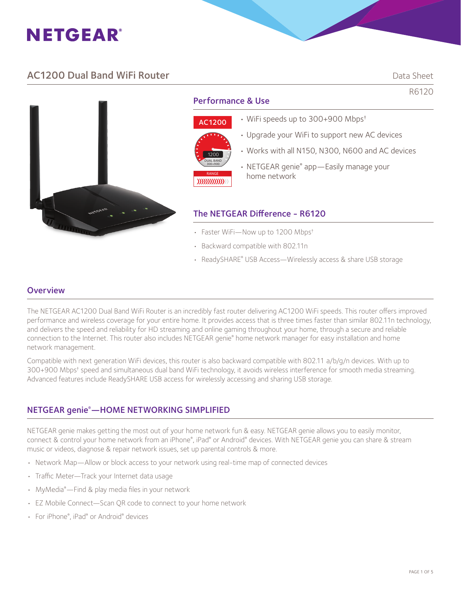# **AC1200 Dual Band WiFi Router Contract Contract Contract Contract Contract Contract Contract Contract Contract Contract Contract Contract Contract Contract Contract Contract Contract Contract Contract Contract Contract Con**

R6120

# Performance & Use



- WiFi speeds up to 300+900 Mbps†
	- Upgrade your WiFi to support new AC devices
	- Works with all N150, N300, N600 and AC devices
	- NETGEAR genie® app—Easily manage your home network

## The NETGEAR Difference - R6120

- Faster WiFi—Now up to 1200 Mbps†
- Backward compatible with 802.11n
- ReadySHARE® USB Access—Wirelessly access & share USB storage

### **Overview**

The NETGEAR AC1200 Dual Band WiFi Router is an incredibly fast router delivering AC1200 WiFi speeds. This router offers improved performance and wireless coverage for your entire home. It provides access that is three times faster than similar 802.11n technology, and delivers the speed and reliability for HD streaming and online gaming throughout your home, through a secure and reliable connection to the Internet. This router also includes NETGEAR genie® home network manager for easy installation and home network management.

Compatible with next generation WiFi devices, this router is also backward compatible with 802.11 a/b/g/n devices. With up to 300+900 Mbps† speed and simultaneous dual band WiFi technology, it avoids wireless interference for smooth media streaming. Advanced features include ReadySHARE USB access for wirelessly accessing and sharing USB storage.

# NETGEAR genie® —HOME NETWORKING SIMPLIFIED

NETGEAR genie makes getting the most out of your home network fun & easy. NETGEAR genie allows you to easily monitor, connect & control your home network from an iPhone®, iPad® or Android® devices. With NETGEAR genie you can share & stream music or videos, diagnose & repair network issues, set up parental controls & more.

- Network Map—Allow or block access to your network using real-time map of connected devices
- Traffic Meter—Track your Internet data usage
- MyMedia® —Find & play media files in your network
- EZ Mobile Connect—Scan QR code to connect to your home network
- For iPhone®, iPad® or Android® devices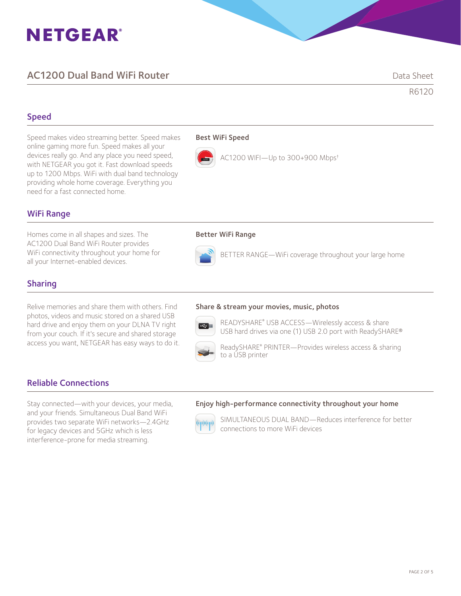# **AC1200 Dual Band WiFi Router Contract Contract Contract Contract Contract Contract Contract Contract Contract Contract Contract Contract Contract Contract Contract Contract Contract Contract Contract Contract Contract Con**

R6120

## Speed

Speed makes video streaming better. Speed makes online gaming more fun. Speed makes all your devices really go. And any place you need speed, with NETGEAR you got it. Fast download speeds up to 1200 Mbps. WiFi with dual band technology providing whole home coverage. Everything you need for a fast connected home.

### Best WiFi Speed



AC1200 WIFI-Up to 300+900 Mbps<sup>+</sup>

## WiFi Range

Homes come in all shapes and sizes. The AC1200 Dual Band WiFi Router provides WiFi connectivity throughout your home for all your Internet-enabled devices.

#### Better WiFi Range



BETTER RANGE—WiFi coverage throughout your large home

# Sharing

Relive memories and share them with others. Find photos, videos and music stored on a shared USB hard drive and enjoy them on your DLNA TV right from your couch. If it's secure and shared storage access you want, NETGEAR has easy ways to do it.

#### Share & stream your movies, music, photos



READYSHARE® USB ACCESS—Wirelessly access & share USB hard drives via one (1) USB 2.0 port with ReadySHARE®



ReadySHARE® PRINTER—Provides wireless access & sharing to a USB printer

## Reliable Connections

Stay connected—with your devices, your media, and your friends. Simultaneous Dual Band WiFi provides two separate WiFi networks—2.4GHz for legacy devices and 5GHz which is less interference-prone for media streaming.

#### Enjoy high-performance connectivity throughout your home



 SIMULTANEOUS DUAL BAND—Reduces interference for better connections to more WiFi devices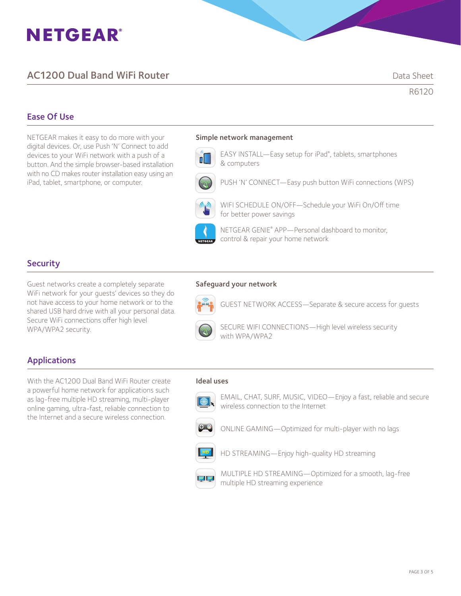# **AC1200 Dual Band WiFi Router Contract Contract Contract Contract Contract Contract Contract Contract Contract Contract Contract Contract Contract Contract Contract Contract Contract Contract Contract Contract Contract Con**

R6120

## Ease Of Use

NETGEAR makes it easy to do more with your digital devices. Or, use Push 'N' Connect to add devices to your WiFi network with a push of a button. And the simple browser-based installation with no CD makes router installation easy using an iPad, tablet, smartphone, or computer.

#### Simple network management

**EASY INSTALL—Easy setup for iPad®**, tablets, smartphones  $\overline{\mathbf{C}}$  EASY INSTAL



PUSH 'N' CONNECT—Easy push button WiFi connections (WPS)



 WIFI SCHEDULE ON/OFF—Schedule your WiFi On/Off time for better power savings

**A RETGEAR GENIE® APP—Personal dashboard to monitor,** control & repair your home network

## **Security**

Guest networks create a completely separate WiFi network for your guests' devices so they do not have access to your home network or to the shared USB hard drive with all your personal data. Secure WiFi connections offer high level WPA/WPA2 security.

#### Safeguard your network



GUEST NETWORK ACCESS—Separate & secure access for guests



 SECURE WIFI CONNECTIONS—High level wireless security with WPA/WPA2

# Applications

With the AC1200 Dual Band WiFi Router create a powerful home network for applications such as lag-free multiple HD streaming, multi-player online gaming, ultra-fast, reliable connection to the Internet and a secure wireless connection.

#### Ideal uses



 EMAIL, CHAT, SURF, MUSIC, VIDEO—Enjoy a fast, reliable and secure wireless connection to the Internet



ONLINE GAMING—Optimized for multi-player with no lags



HD STREAMING—Enjoy high-quality HD streaming



MULTIPLE HD STREAMING—Optimized for a smooth, lag-free multiple HD streaming experience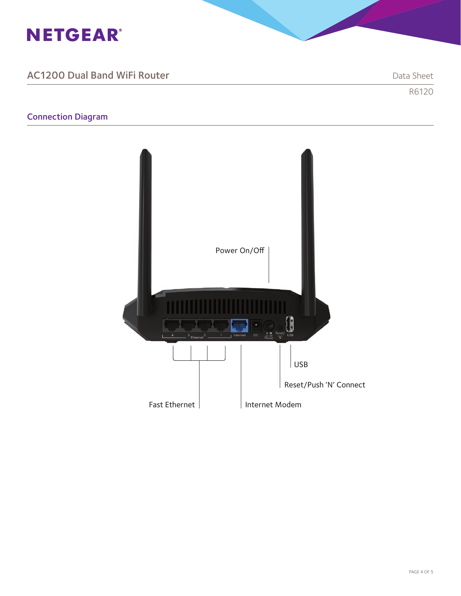

| <b>AC1200 Dual Band WiFi Router</b> | Data Sheet |
|-------------------------------------|------------|
|                                     | R6120      |

# Connection Diagram